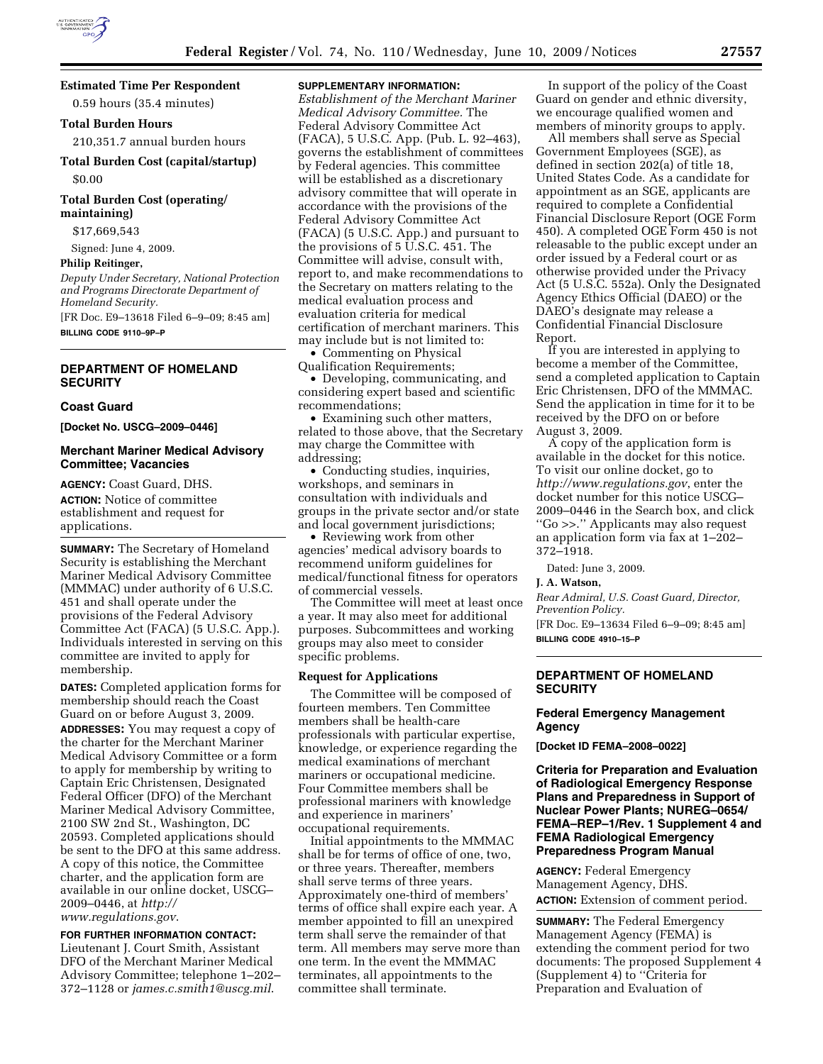## **Estimated Time Per Respondent**

0.59 hours (35.4 minutes)

#### **Total Burden Hours**

210,351.7 annual burden hours

**Total Burden Cost (capital/startup)** 

\$0.00

# **Total Burden Cost (operating/ maintaining)**

\$17,669,543

Signed: June 4, 2009.

# **Philip Reitinger,**

*Deputy Under Secretary, National Protection and Programs Directorate Department of Homeland Security.* 

[FR Doc. E9–13618 Filed 6–9–09; 8:45 am] **BILLING CODE 9110–9P–P** 

# **DEPARTMENT OF HOMELAND SECURITY**

#### **Coast Guard**

**[Docket No. USCG–2009–0446]** 

## **Merchant Mariner Medical Advisory Committee; Vacancies**

**AGENCY:** Coast Guard, DHS. **ACTION:** Notice of committee establishment and request for applications.

**SUMMARY:** The Secretary of Homeland Security is establishing the Merchant Mariner Medical Advisory Committee (MMMAC) under authority of 6 U.S.C. 451 and shall operate under the provisions of the Federal Advisory Committee Act (FACA) (5 U.S.C. App.). Individuals interested in serving on this committee are invited to apply for membership.

**DATES:** Completed application forms for membership should reach the Coast Guard on or before August 3, 2009. **ADDRESSES:** You may request a copy of the charter for the Merchant Mariner Medical Advisory Committee or a form to apply for membership by writing to Captain Eric Christensen, Designated Federal Officer (DFO) of the Merchant Mariner Medical Advisory Committee, 2100 SW 2nd St., Washington, DC 20593. Completed applications should be sent to the DFO at this same address. A copy of this notice, the Committee charter, and the application form are available in our online docket, USCG– 2009–0446, at *http:// www.regulations.gov*.

# **FOR FURTHER INFORMATION CONTACT:**

Lieutenant J. Court Smith, Assistant DFO of the Merchant Mariner Medical Advisory Committee; telephone 1–202– 372–1128 or *james.c.smith1@uscg.mil*.

## **SUPPLEMENTARY INFORMATION:**

*Establishment of the Merchant Mariner Medical Advisory Committee.* The Federal Advisory Committee Act (FACA), 5 U.S.C. App. (Pub. L. 92–463), governs the establishment of committees by Federal agencies. This committee will be established as a discretionary advisory committee that will operate in accordance with the provisions of the Federal Advisory Committee Act (FACA) (5 U.S.C. App.) and pursuant to the provisions of 5 U.S.C. 451. The Committee will advise, consult with, report to, and make recommendations to the Secretary on matters relating to the medical evaluation process and evaluation criteria for medical certification of merchant mariners. This may include but is not limited to:

• Commenting on Physical Qualification Requirements;

• Developing, communicating, and considering expert based and scientific recommendations;

• Examining such other matters, related to those above, that the Secretary may charge the Committee with addressing;

• Conducting studies, inquiries, workshops, and seminars in consultation with individuals and groups in the private sector and/or state and local government jurisdictions;

• Reviewing work from other agencies' medical advisory boards to recommend uniform guidelines for medical/functional fitness for operators of commercial vessels.

The Committee will meet at least once a year. It may also meet for additional purposes. Subcommittees and working groups may also meet to consider specific problems.

#### **Request for Applications**

The Committee will be composed of fourteen members. Ten Committee members shall be health-care professionals with particular expertise, knowledge, or experience regarding the medical examinations of merchant mariners or occupational medicine. Four Committee members shall be professional mariners with knowledge and experience in mariners' occupational requirements.

Initial appointments to the MMMAC shall be for terms of office of one, two, or three years. Thereafter, members shall serve terms of three years. Approximately one-third of members' terms of office shall expire each year. A member appointed to fill an unexpired term shall serve the remainder of that term. All members may serve more than one term. In the event the MMMAC terminates, all appointments to the committee shall terminate.

In support of the policy of the Coast Guard on gender and ethnic diversity, we encourage qualified women and members of minority groups to apply.

All members shall serve as Special Government Employees (SGE), as defined in section 202(a) of title 18, United States Code. As a candidate for appointment as an SGE, applicants are required to complete a Confidential Financial Disclosure Report (OGE Form 450). A completed OGE Form 450 is not releasable to the public except under an order issued by a Federal court or as otherwise provided under the Privacy Act (5 U.S.C. 552a). Only the Designated Agency Ethics Official (DAEO) or the DAEO's designate may release a Confidential Financial Disclosure Report.

If you are interested in applying to become a member of the Committee, send a completed application to Captain Eric Christensen, DFO of the MMMAC. Send the application in time for it to be received by the DFO on or before August 3, 2009.

A copy of the application form is available in the docket for this notice. To visit our online docket, go to *http://www.regulations.gov*, enter the docket number for this notice USCG– 2009–0446 in the Search box, and click ''Go >>.'' Applicants may also request an application form via fax at 1–202– 372–1918.

Dated: June 3, 2009.

#### **J. A. Watson,**

*Rear Admiral, U.S. Coast Guard, Director, Prevention Policy.* 

[FR Doc. E9–13634 Filed 6–9–09; 8:45 am] **BILLING CODE 4910–15–P** 

#### **DEPARTMENT OF HOMELAND SECURITY**

## **Federal Emergency Management Agency**

**[Docket ID FEMA–2008–0022]** 

## **Criteria for Preparation and Evaluation of Radiological Emergency Response Plans and Preparedness in Support of Nuclear Power Plants; NUREG–0654/ FEMA–REP–1/Rev. 1 Supplement 4 and FEMA Radiological Emergency Preparedness Program Manual**

**AGENCY:** Federal Emergency Management Agency, DHS. **ACTION:** Extension of comment period.

**SUMMARY:** The Federal Emergency Management Agency (FEMA) is extending the comment period for two documents: The proposed Supplement 4 (Supplement 4) to ''Criteria for Preparation and Evaluation of